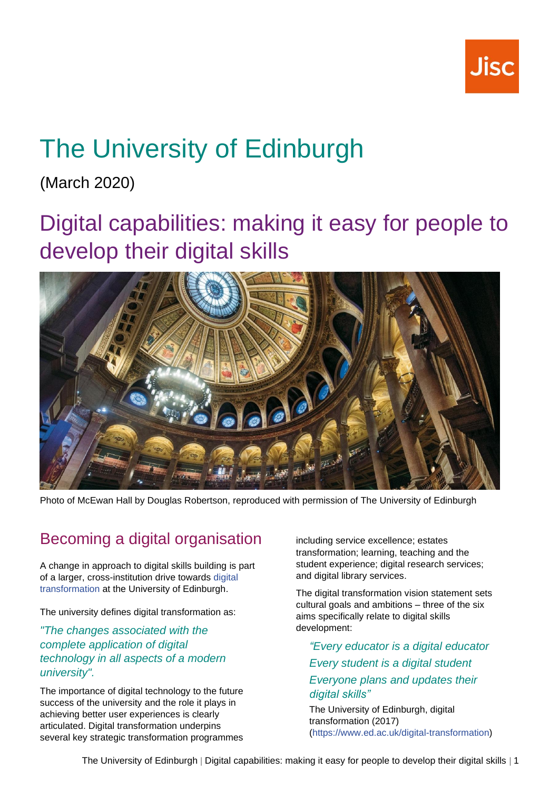

# The University of Edinburgh

(March 2020)

## Digital capabilities: making it easy for people to develop their digital skills



Photo of McEwan Hall by Douglas Robertson, reproduced with permission of The University of Edinburgh

### Becoming a digital organisation

A change in approach to digital skills building is part of a larger, cross-institution drive towards [digital](https://www.ed.ac.uk/digital-transformation/about)  [transformation](https://www.ed.ac.uk/digital-transformation/about) at the University of Edinburgh.

The university defines digital transformation as:

*"The changes associated with the complete application of digital technology in all aspects of a modern university".*

The importance of digital technology to the future success of the university and the role it plays in achieving better user experiences is clearly articulated. Digital transformation underpins several key strategic transformation programmes including service excellence; estates transformation; learning, teaching and the student experience; digital research services; and digital library services.

The digital transformation vision statement sets cultural goals and ambitions – three of the six aims specifically relate to digital skills development:

*"Every educator is a digital educator Every student is a digital student Everyone plans and updates their digital skills"*

The University of Edinburgh, digital transformation (2017) [\(https://www.ed.ac.uk/digital-transformation\)](https://www.ed.ac.uk/digital-transformation)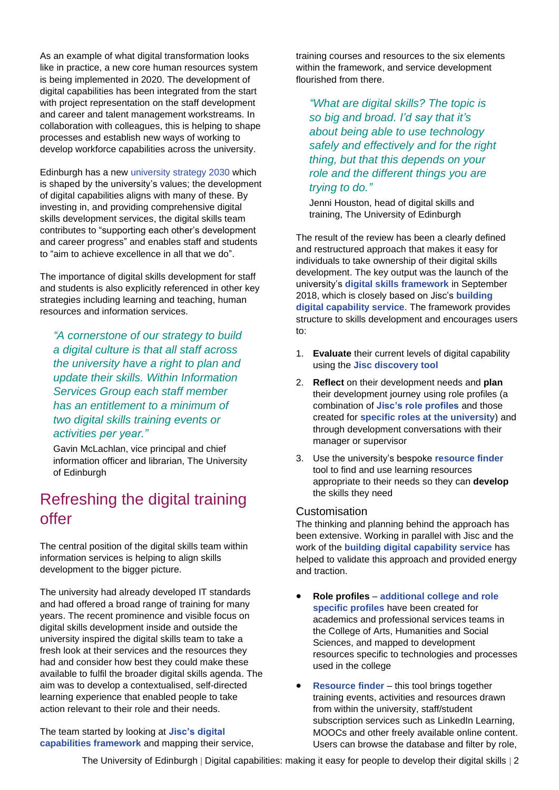As an example of what digital transformation looks like in practice, a new core human resources system is being implemented in 2020. The development of digital capabilities has been integrated from the start with project representation on the staff development and career and talent management workstreams. In collaboration with colleagues, this is helping to shape processes and establish new ways of working to develop workforce capabilities across the university.

Edinburgh has a new [university strategy 2030](https://www.ed.ac.uk/about/strategy-2030) which is shaped by the university's values; the development of digital capabilities aligns with many of these. By investing in, and providing comprehensive digital skills development services, the digital skills team contributes to "supporting each other's development and career progress" and enables staff and students to "aim to achieve excellence in all that we do".

The importance of digital skills development for staff and students is also explicitly referenced in other key strategies including learning and teaching, human resources and information services.

*"A cornerstone of our strategy to build a digital culture is that all staff across the university have a right to plan and update their skills. Within Information Services Group each staff member has an entitlement to a minimum of two digital skills training events or activities per year."*

Gavin McLachlan, vice principal and chief information officer and librarian, The University of Edinburgh

### Refreshing the digital training offer

The central position of the digital skills team within information services is helping to align skills development to the bigger picture.

The university had already developed IT standards and had offered a broad range of training for many years. The recent prominence and visible focus on digital skills development inside and outside the university inspired the digital skills team to take a fresh look at their services and the resources they had and consider how best they could make these available to fulfil the broader digital skills agenda. The aim was to develop a contextualised, self-directed learning experience that enabled people to take action relevant to their role and their needs.

The team started by looking at **[Jisc's digital](https://digitalcapability.jisc.ac.uk/what-is-digital-capability/individual-digital-capabilities/)  [capabilities framework](https://digitalcapability.jisc.ac.uk/what-is-digital-capability/individual-digital-capabilities/)** and mapping their service, training courses and resources to the six elements within the framework, and service development flourished from there.

*"What are digital skills? The topic is so big and broad. I'd say that it's about being able to use technology safely and effectively and for the right thing, but that this depends on your role and the different things you are trying to do."*

Jenni Houston, head of digital skills and training, The University of Edinburgh

The result of the review has been a clearly defined and restructured approach that makes it easy for individuals to take ownership of their digital skills development. The key output was the launch of the university's **[digital skills framework](https://www.digitalskills.ed.ac.uk/)** in September 2018, which is closely based on Jisc's **[building](https://digitalcapability.jisc.ac.uk/)  [digital capability service](https://digitalcapability.jisc.ac.uk/)**. The framework provides structure to skills development and encourages users to:

- 1. **Evaluate** their current levels of digital capability using the **[Jisc discovery tool](https://digitalcapability.jisc.ac.uk/our-service/discovery-tool/)**
- 2. **Reflect** on their development needs and **plan** their development journey using role profiles (a combination of **[Jisc's role profiles](https://digitalcapability.jisc.ac.uk/what-is-digital-capability/)** and those created for **[specific roles at the university](https://www.digitalskills.ed.ac.uk/digital-skills-role-profiles/)**) and through development conversations with their manager or supervisor
- 3. Use the university's bespoke **[resource finder](https://www.digitalskills.ed.ac.uk/all-resources/)** tool to find and use learning resources appropriate to their needs so they can **develop** the skills they need

#### **Customisation**

The thinking and planning behind the approach has been extensive. Working in parallel with Jisc and the work of the **[building digital capability service](https://digitalcapability.jisc.ac.uk/)** has helped to validate this approach and provided energy and traction.

- **Role profiles [additional college and role](https://www.digitalskills.ed.ac.uk/digital-skills-role-profiles/)  [specific](https://www.digitalskills.ed.ac.uk/digital-skills-role-profiles/) profiles** have been created for academics and professional services teams in the College of Arts, Humanities and Social Sciences, and mapped to development resources specific to technologies and processes used in the college
- **[Resource finder](https://www.digitalskills.ed.ac.uk/all-resources/)** this tool brings together training events, activities and resources drawn from within the university, staff/student subscription services such as LinkedIn Learning, MOOCs and other freely available online content. Users can browse the database and filter by role,

The University of Edinburgh | Digital capabilities: making it easy for people to develop their digital skills | 2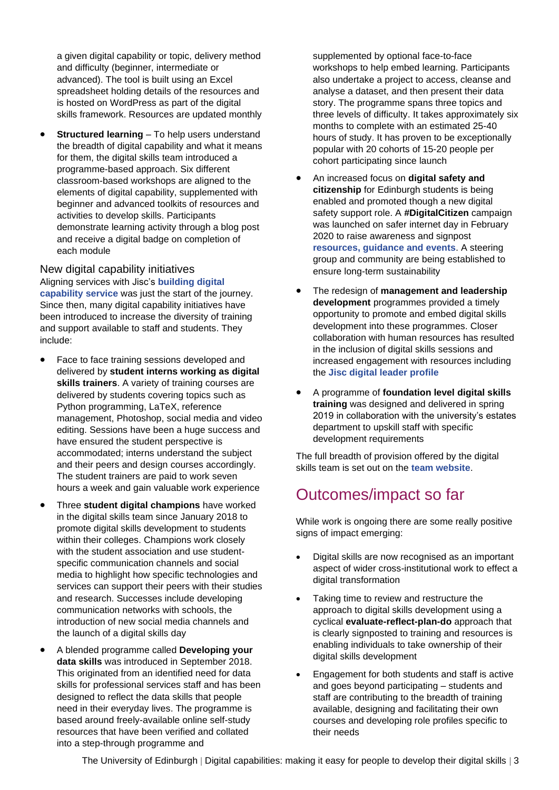a given digital capability or topic, delivery method and difficulty (beginner, intermediate or advanced). The tool is built using an Excel spreadsheet holding details of the resources and is hosted on WordPress as part of the digital skills framework. Resources are updated monthly

**Structured learning** – To help users understand the breadth of digital capability and what it means for them, the digital skills team introduced a programme-based approach. Six different classroom-based workshops are aligned to the elements of digital capability, supplemented with beginner and advanced toolkits of resources and activities to develop skills. Participants demonstrate learning activity through a blog post and receive a digital badge on completion of each module

New digital capability initiatives Aligning services with Jisc's **[building digital](https://digitalcapability.jisc.ac.uk/)  [capability service](https://digitalcapability.jisc.ac.uk/)** was just the start of the journey. Since then, many digital capability initiatives have been introduced to increase the diversity of training and support available to staff and students. They include:

- Face to face training sessions developed and delivered by **student interns working as digital skills trainers**. A variety of training courses are delivered by students covering topics such as Python programming, LaTeX, reference management, Photoshop, social media and video editing. Sessions have been a huge success and have ensured the student perspective is accommodated; interns understand the subject and their peers and design courses accordingly. The student trainers are paid to work seven hours a week and gain valuable work experience
- Three **student digital champions** have worked in the digital skills team since January 2018 to promote digital skills development to students within their colleges. Champions work closely with the student association and use studentspecific communication channels and social media to highlight how specific technologies and services can support their peers with their studies and research. Successes include developing communication networks with schools, the introduction of new social media channels and the launch of a digital skills day
- A blended programme called **Developing your data skills** was introduced in September 2018. This originated from an identified need for data skills for professional services staff and has been designed to reflect the data skills that people need in their everyday lives. The programme is based around freely-available online self-study resources that have been verified and collated into a step-through programme and

supplemented by optional face-to-face workshops to help embed learning. Participants also undertake a project to access, cleanse and analyse a dataset, and then present their data story. The programme spans three topics and three levels of difficulty. It takes approximately six months to complete with an estimated 25-40 hours of study. It has proven to be exceptionally popular with 20 cohorts of 15-20 people per cohort participating since launch

- An increased focus on **digital safety and citizenship** for Edinburgh students is being enabled and promoted though a new digital safety support role. A **#DigitalCitizen** campaign was launched on safer internet day in February 2020 to raise awareness and signpost **[resources, guidance and events](http://www.edin.ac/digital%20safety)**. A steering group and community are being established to ensure long-term sustainability
- The redesign of **management and leadership development** programmes provided a timely opportunity to promote and embed digital skills development into these programmes. Closer collaboration with human resources has resulted in the inclusion of digital skills sessions and increased engagement with resources including the **[Jisc digital leader profile](http://repository.jisc.ac.uk/7351/1/BDCP-DL-Profile-230419.pdf)**
- A programme of **foundation level digital skills training** was designed and delivered in spring 2019 in collaboration with the university's estates department to upskill staff with specific development requirements

The full breadth of provision offered by the digital skills team is set out on the **[team website](http://www.ed.ac.uk/is/skills)**.

### Outcomes/impact so far

While work is ongoing there are some really positive signs of impact emerging:

- Digital skills are now recognised as an important aspect of wider cross-institutional work to effect a digital transformation
- Taking time to review and restructure the approach to digital skills development using a cyclical **evaluate-reflect-plan-do** approach that is clearly signposted to training and resources is enabling individuals to take ownership of their digital skills development
- Engagement for both students and staff is active and goes beyond participating – students and staff are contributing to the breadth of training available, designing and facilitating their own courses and developing role profiles specific to their needs